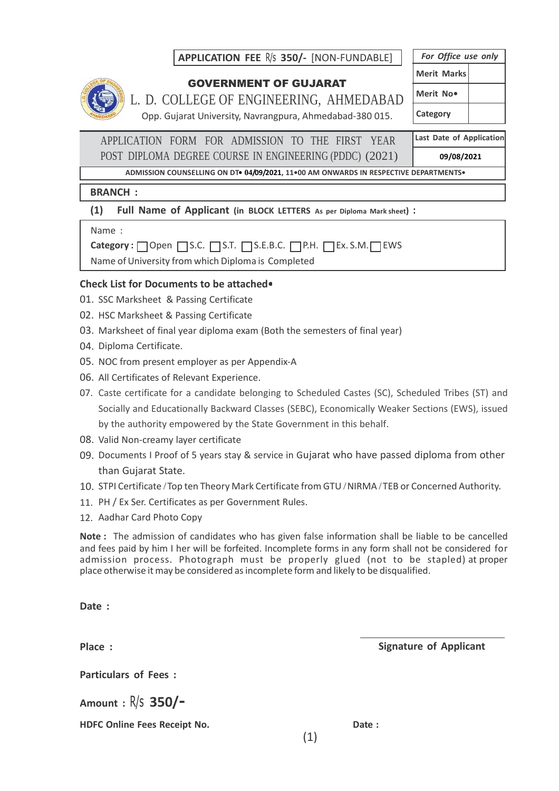## **APPLICATION FEE** R/s **350/-** [NON-FUNDABLE]



## GOVERNMENT OF GUJARAT

L. D. COLLEGE OF ENGINEERING, AHMEDABAD Opp. Gujarat University, Navrangpura, Ahmedabad-380 015.

*For Office use only* **Merit Marks Merit No• Category**

APPLICATION FORM FOR ADMISSION TO THE FIRST YEAR POST DIPLOMA DEGREE COURSE IN ENGINEERING (PDDC) (2021) **Last Date of Application 09/08/2021**

**ADMISSION COUNSELLING ON DT• 04/09/2021, 11•00 AM ONWARDS IN RESPECTIVE DEPARTMENTS•**

## **BRANCH :**

## **(1) Full Name of Applicant (in BLOCK LETTERS As per Diploma Mark sheet) :**

Name :

**Category :** □ Open □ S.C. □ S.T. □ S.E.B.C. □ P.H. □ Ex. S.M.□ EWS

Name of University from which Diploma is Completed

## **Check List for Documents to be attached•**

- 01. SSC Marksheet & Passing Certificate
- 02. HSC Marksheet & Passing Certificate
- 03. Marksheet of final year diploma exam (Both the semesters of final year)
- 04. Diploma Certificate.
- 05. NOC from present employer as per Appendix-A
- 06. All Certificates of Relevant Experience.
- 07. Caste certificate for a candidate belonging to Scheduled Castes (SC), Scheduled Tribes (ST) and Socially and Educationally Backward Classes (SEBC), Economically Weaker Sections (EWS), issued by the authority empowered by the State Government in this behalf.
- 08. Valid Non-creamy layer certificate
- 09. Documents I Proof of 5 years stay & service in Gujarat who have passed diploma from other than Gujarat State.
- 10. STPI Certificate / Top ten Theory Mark Certificate from GTU / NIRMA / TEB or Concerned Authority.
- PH / Ex Ser. Certificates as per Government Rules. 11.
- 12. Aadhar Card Photo Copy

**Note :** The admission of candidates who has given false information shall be liable to be cancelled and fees paid by him I her will be forfeited. Incomplete forms in any form shall not be considered for admission process. Photograph must be properly glued (not to be stapled) at proper place otherwise it may be considered asincomplete form and likely to be disqualified.

**Date :**

**•••••••••••••• Particulars of Fees :**

**Amount :** R/s **350/-**

**HDFC Online Fees Receipt No. Date :**

**Place : Signature of Applicant**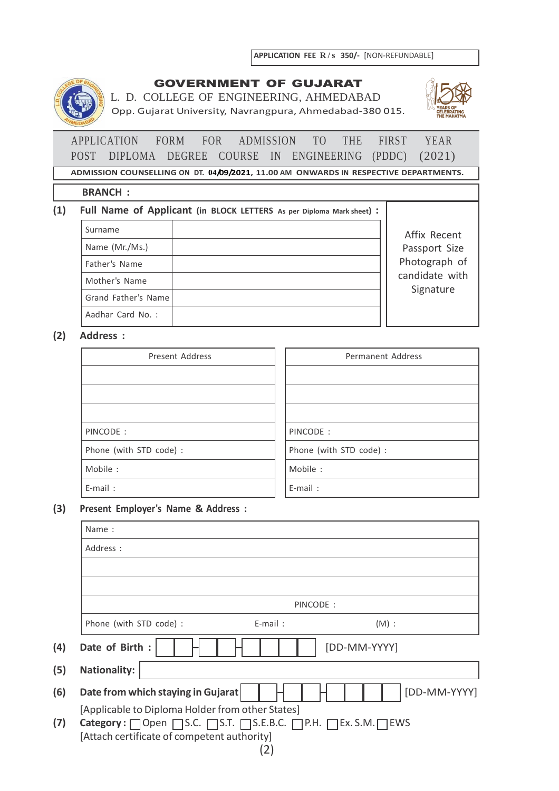

## GOVERNMENT OF GUJARAT

L. D. COLLEGE OF ENGINEERING, AHMEDABAD Opp. Gujarat University, Navrangpura, Ahmedabad-380 015.



# APPLICATION FORM FOR ADMISSION TO THE FIRST YEAR POST DIPLOMA DEGREE COURSE IN ENGINEERING (PDDC) (2021)

**ADMISSION COUNSELLING ON DT. 04/09/2021, 11.00 AM ONWARDS IN RESPECTIVE DEPARTMENTS.**

#### **BRANCH :**

#### **(1) Full Name of Applicant (in BLOCK LETTERS As per Diploma Mark sheet) :**

| Surname             | Affix Recent                |
|---------------------|-----------------------------|
| Name (Mr./Ms.)      | Passport Size               |
| Father's Name       | Photograph of               |
| Mother's Name       | candidate with<br>Signature |
| Grand Father's Name |                             |
| Aadhar Card No.:    |                             |

## **(2) Address :**

| Present Address         | Permanent Address       |
|-------------------------|-------------------------|
|                         |                         |
|                         |                         |
|                         |                         |
| PINCODE:                | PINCODE:                |
| Phone (with STD code) : | Phone (with STD code) : |
| Mobile:                 | Mobile:                 |
| E-mail:                 | $E$ -mail:              |

#### **(3) Present Employer's Name & Address :**

|     | Name:                                                                                                           |
|-----|-----------------------------------------------------------------------------------------------------------------|
|     | Address :                                                                                                       |
|     |                                                                                                                 |
|     |                                                                                                                 |
|     | PINCODE:                                                                                                        |
|     | Phone (with STD code) :<br>$(M)$ :<br>$E$ -mail:                                                                |
| (4) | Date of Birth :<br>[DD-MM-YYYY]                                                                                 |
| (5) | <b>Nationality:</b>                                                                                             |
| (6) | [DD-MM-YYYY]<br>Date from which staying in Gujarat                                                              |
|     | [Applicable to Diploma Holder from other States]                                                                |
| (7) | Category: □ Open □ S.C. □ S.T. □ S.E.B.C. □ P.H. □ Ex. S.M.□ EWS<br>[Attach certificate of competent authority] |
|     | $\left 2\right $                                                                                                |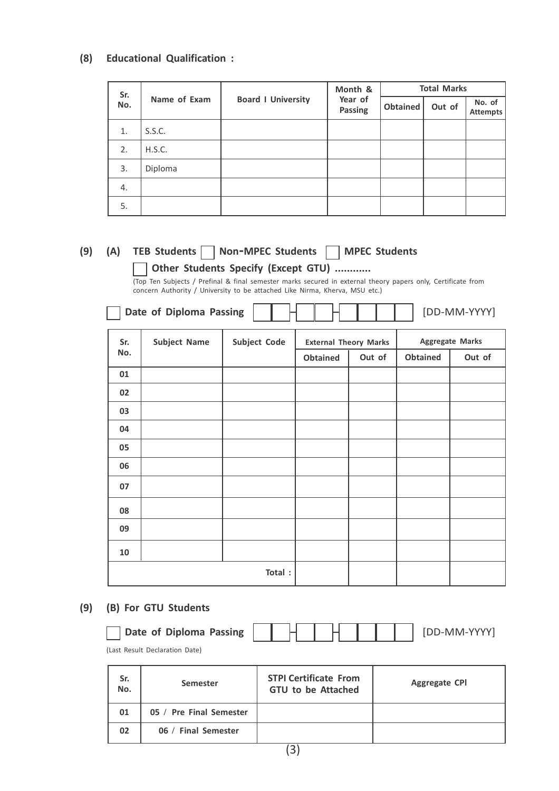#### **(8) Educational Qualification :**

| Sr. |              |                           | Month &                   | <b>Total Marks</b> |        |                           |  |  |
|-----|--------------|---------------------------|---------------------------|--------------------|--------|---------------------------|--|--|
| No. | Name of Exam | <b>Board I University</b> | Year of<br><b>Passing</b> | Obtained           | Out of | No. of<br><b>Attempts</b> |  |  |
| 1.  | S.S.C.       |                           |                           |                    |        |                           |  |  |
| 2.  | H.S.C.       |                           |                           |                    |        |                           |  |  |
| 3.  | Diploma      |                           |                           |                    |        |                           |  |  |
| 4.  |              |                           |                           |                    |        |                           |  |  |
| 5.  |              |                           |                           |                    |        |                           |  |  |

# **(9) (A) TEB Students Non-MPEC Students MPEC Students**

**Other Students Specify (Except GTU) ............**

(Top Ten Subjects / Prefinal & final semester marks secured in external theory papers only, Certificate from concern Authority / University to be attached Like Nirma, Kherva, MSU etc.)

| Date of Diploma Passing |  |  |  |  |  |  |  |  |  | <b>IDD-MM-YYYY</b> |
|-------------------------|--|--|--|--|--|--|--|--|--|--------------------|
|-------------------------|--|--|--|--|--|--|--|--|--|--------------------|

| Sr. | <b>Subject Name</b> | Subject Code |          | <b>External Theory Marks</b> |                 | <b>Aggregate Marks</b> |
|-----|---------------------|--------------|----------|------------------------------|-----------------|------------------------|
| No. |                     |              | Obtained | Out of                       | <b>Obtained</b> | Out of                 |
| 01  |                     |              |          |                              |                 |                        |
| 02  |                     |              |          |                              |                 |                        |
| 03  |                     |              |          |                              |                 |                        |
| 04  |                     |              |          |                              |                 |                        |
| 05  |                     |              |          |                              |                 |                        |
| 06  |                     |              |          |                              |                 |                        |
| 07  |                     |              |          |                              |                 |                        |
| 08  |                     |              |          |                              |                 |                        |
| 09  |                     |              |          |                              |                 |                        |
| 10  |                     |              |          |                              |                 |                        |
|     |                     | Total:       |          |                              |                 |                        |

## **(9) (B) For GTU Students**

| Date of Diploma Passing |  |  |  |  |  |  |  |  | ' [DD-MM-YYYYi |
|-------------------------|--|--|--|--|--|--|--|--|----------------|
|-------------------------|--|--|--|--|--|--|--|--|----------------|

(Last Result Declaration Date)

| Sr.<br>No. | Semester                | <b>STPI Certificate From</b><br><b>GTU to be Attached</b> | <b>Aggregate CPI</b> |
|------------|-------------------------|-----------------------------------------------------------|----------------------|
| 01         | 05 / Pre Final Semester |                                                           |                      |
| 02         | 06 / Final Semester     |                                                           |                      |
|            |                         | $\cdot$ $\cdot$                                           |                      |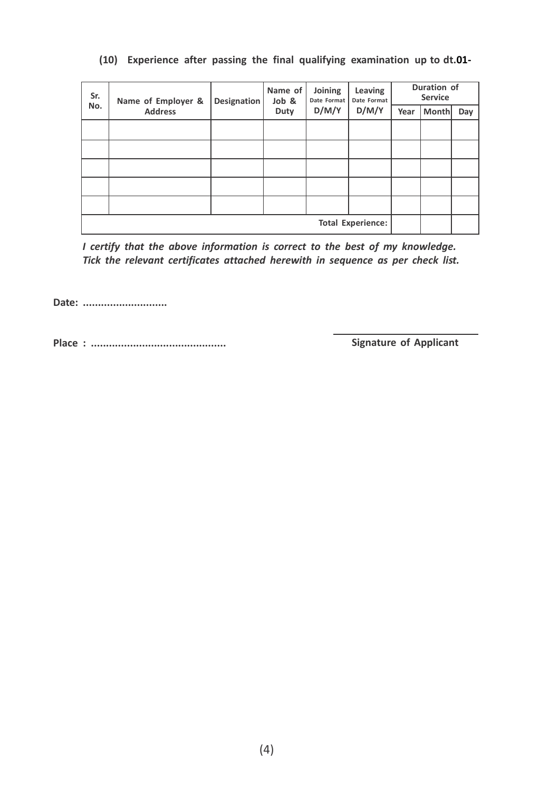| Sr.                      | Name of Employer & | Designation | Name of<br>Job & | Joining<br>Date Format | Leaving<br>Date Format | Duration of<br><b>Service</b> |       |     |
|--------------------------|--------------------|-------------|------------------|------------------------|------------------------|-------------------------------|-------|-----|
| No.                      | <b>Address</b>     |             | <b>Duty</b>      | D/M/Y                  |                        | Year                          | Month | Day |
|                          |                    |             |                  |                        |                        |                               |       |     |
|                          |                    |             |                  |                        |                        |                               |       |     |
|                          |                    |             |                  |                        |                        |                               |       |     |
|                          |                    |             |                  |                        |                        |                               |       |     |
|                          |                    |             |                  |                        |                        |                               |       |     |
| <b>Total Experience:</b> |                    |             |                  |                        |                        |                               |       |     |

## **(10) Experience after passing the final qualifying examination up to dt.01-**

*I certify that the above information is correct to the best of my knowledge. Tick the relevant certificates attached herewith in sequence as per check list.*

**Date: ............................**

**Place : ............................................. Signature of Applicant**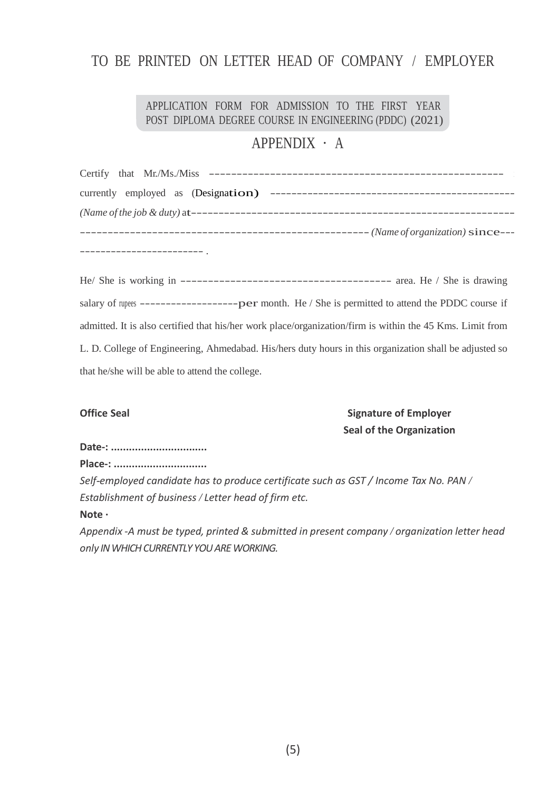# TO BE PRINTED ON LETTER HEAD OF COMPANY / EMPLOYER

## POST DIPLOMA DEGREE COURSE IN ENGINEERING (PDDC) (2021) APPLICATION FORM FOR ADMISSION TO THE FIRST YEAR

# APPENDIX · A

| --- (Name of organization) since--- |
|-------------------------------------|
|                                     |

He/ She is working in -------------------------------------- area. He / She is drawing salary of rupees ---------------------------- per month. He / She is permitted to attend the PDDC course if admitted. It is also certified that his/her work place/organization/firm is within the 45 Kms. Limit from L. D. College of Engineering, Ahmedabad. His/hers duty hours in this organization shall be adjusted so that he/she will be able to attend the college.

## **Office Seal Signature of Employer Seal of the Organization**

**Date-: ................................**

**Place-: ...............................**

*Self-employed candidate has to produce certificate such as GST / Income Tax No. PAN / Establishment of business / Letter head of firm etc.*

**Note ·**

*Appendix -A must be typed, printed & submitted in present company / organization letter head only IN WHICH CURRENTLY YOU ARE WORKING.*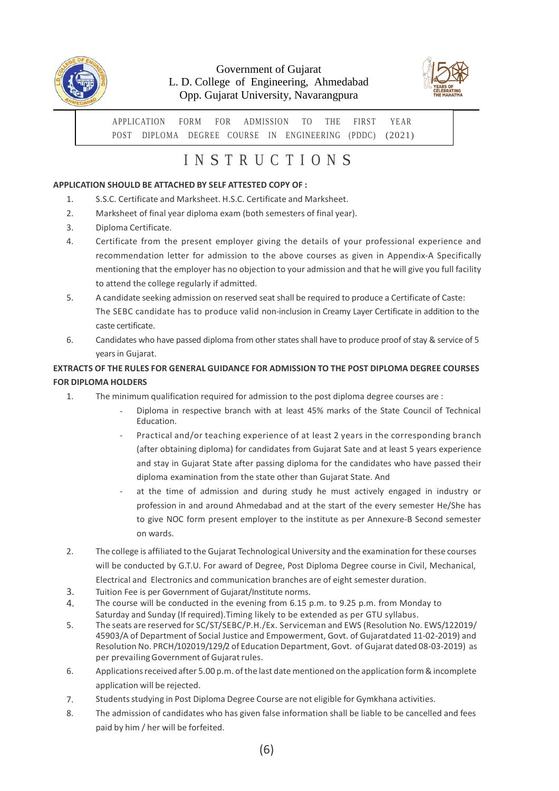

## Government of Gujarat L. D. College of Engineering, Ahmedabad Opp. Gujarat University, Navarangpura



APPLICATION FORM FOR ADMISSION TO THE FIRST YEAR POST DIPLOMA DEGREE COURSE IN ENGINEERING (PDDC) (2021)

# I N S T R U C T I O N S

#### **APPLICATION SHOULD BE ATTACHED BY SELF ATTESTED COPY OF :**

- 1. S.S.C. Certificate and Marksheet. H.S.C. Certificate and Marksheet.
- 2. Marksheet of final year diploma exam (both semesters of final year).
- 3. Diploma Certificate.
- 4. Certificate from the present employer giving the details of your professional experience and recommendation letter for admission to the above courses as given in Appendix-A Specifically mentioning that the employer has no objection to your admission and that he will give you full facility to attend the college regularly if admitted.
- A candidate seeking admission on reserved seatshall be required to produce a Certificate of Caste: The SEBC candidate has to produce valid non-inclusion in Creamy Layer Certificate in addition to the caste certificate. 5.
- Candidates who have passed diploma from other states shall have to produce proof of stay & service of 5 years in Gujarat. 6.

## **EXTRACTS OF THE RULES FOR GENERAL GUIDANCE FOR ADMISSION TO THE POST DIPLOMA DEGREE COURSES FOR DIPLOMA HOLDERS**

- 1. The minimum qualification required for admission to the post diploma degree courses are :
	- Diploma in respective branch with at least 45% marks of the State Council of Technical Education.
	- Practical and/or teaching experience of at least 2 years in the corresponding branch (after obtaining diploma) for candidates from Gujarat Sate and at least 5 years experience and stay in Gujarat State after passing diploma for the candidates who have passed their diploma examination from the state other than Gujarat State. And
	- at the time of admission and during study he must actively engaged in industry or profession in and around Ahmedabad and at the start of the every semester He/She has to give NOC form present employer to the institute as per Annexure-B Second semester on wards.
- 2. The college is affiliated to the Gujarat Technological University and the examination for these courses will be conducted by G.T.U. For award of Degree, Post Diploma Degree course in Civil, Mechanical, Electrical and Electronics and communication branches are of eight semester duration.
- Tuition Fee is per Government of Gujarat/Institute norms. 3.
- The course will be conducted in the evening from 6.15 p.m. to 9.25 p.m. from Monday to Saturday and Sunday (If required).Timing likely to be extended as per GTU syllabus. 4.
- The seats are reserved for SC/ST/SEBC/P.H./Ex. Serviceman and EWS (Resolution No. EWS/122019/ 45903/A of Department of Social Justice and Empowerment, Govt. of Gujaratdated 11-02-2019) and Resolution No. PRCH/102019/129/2 of Education Department, Govt. of Gujarat dated 08-03-2019) as per prevailing Government of Gujarat rules. 5.
- Applications received after 5.00 p.m. of the last date mentioned on the application form & incomplete application will be rejected. 6.
- Studentsstudying in Post Diploma Degree Course are not eligible for Gymkhana activities. 7.
- The admission of candidates who has given false information shall be liable to be cancelled and fees paid by him / her will be forfeited. 8.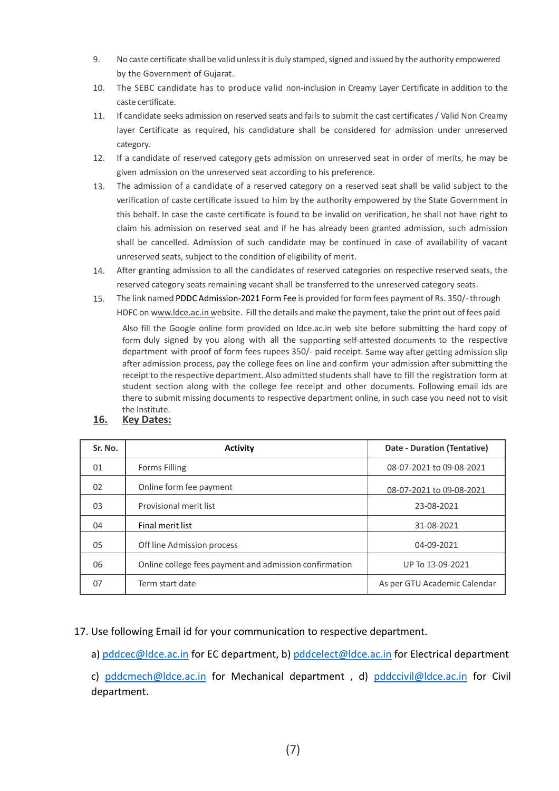- 9. No caste certificate shall be valid unlessitis duly stamped,signed and issued by the authority empowered by the Government of Gujarat.
- The SEBC candidate has to produce valid non-inclusion in Creamy Layer Certificate in addition to the caste certificate. 10.
- If candidate seeks admission on reserved seats and fails to submit the cast certificates / Valid Non Creamy layer Certificate as required, his candidature shall be considered for admission under unreserved category. 11.
- If a candidate of reserved category gets admission on unreserved seat in order of merits, he may be given admission on the unreserved seat according to his preference. 12.
- The admission of a candidate of a reserved category on a reserved seat shall be valid subject to the verification of caste certificate issued to him by the authority empowered by the State Government in this behalf. In case the caste certificate is found to be invalid on verification, he shall not have right to claim his admission on reserved seat and if he has already been granted admission, such admission shall be cancelled. Admission of such candidate may be continued in case of availability of vacant unreserved seats, subject to the condition of eligibility of merit. 13.
- After granting admission to all the candidates of reserved categories on respective reserved seats, the reserved category seats remaining vacant shall be transferred to the unreserved category seats. 14.
- The link named PDDC Admission-2021 Form Fee is provided for form fees payment of Rs. 350/-through HDFC on [www.ldce.ac.in](http://www.ldce.ac.in/) website. Fill the details and make the payment, take the print out of fees paid 15.

Also fill the Google online form provided on ldce.ac.in web site before submitting the hard copy of form duly signed by you along with all the supporting self-attested documents to the respective department with proof of form fees rupees 350/- paid receipt. Same way after getting admission slip after admission process, pay the college fees on line and confirm your admission after submitting the receipt to the respective department. Also admitted studentsshall have to fill the registration form at student section along with the college fee receipt and other documents. Following email ids are there to submit missing documents to respective department online, in such case you need not to visit the Institute.

**16. Key Dates:**

| Sr. No. | <b>Activity</b>                                        | <b>Date - Duration (Tentative)</b> |
|---------|--------------------------------------------------------|------------------------------------|
| 01      | <b>Forms Filling</b>                                   | 08-07-2021 to 09-08-2021           |
| 02      | Online form fee payment                                | 08-07-2021 to 09-08-2021           |
| 03      | Provisional merit list                                 | 23-08-2021                         |
| 04      | Final merit list                                       | 31-08-2021                         |
| 05      | Off line Admission process                             | 04-09-2021                         |
| 06      | Online college fees payment and admission confirmation | UP To 13-09-2021                   |
| 07      | Term start date                                        | As per GTU Academic Calendar       |

17. Use following Email id for your communication to respective department.

a) [pddcec@ldce.ac.in](mailto:pddcec@ldce.ac.in) for EC department, b) [pddcelect@ldce.ac.in](mailto:pddcelect@ldce.ac.in) for Electrical department

c) [pddcmech@ldce.ac.in](mailto:pddcmech@ldce.ac.in) for Mechanical department , d) [pddccivil@ldce.ac.in](mailto:pddccivil@ldce.ac.in) for Civil department.